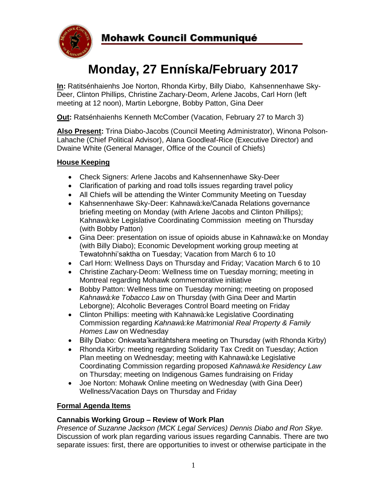

# **Monday, 27 Enníska/February 2017**

**In:** Ratitsénhaienhs Joe Norton, Rhonda Kirby, Billy Diabo, Kahsennenhawe Sky-Deer, Clinton Phillips, Christine Zachary-Deom, Arlene Jacobs, Carl Horn (left meeting at 12 noon), Martin Leborgne, Bobby Patton, Gina Deer

**Out:** Ratsénhaienhs Kenneth McComber (Vacation, February 27 to March 3)

**Also Present:** Trina Diabo-Jacobs (Council Meeting Administrator), Winona Polson-Lahache (Chief Political Advisor), Alana Goodleaf-Rice (Executive Director) and Dwaine White (General Manager, Office of the Council of Chiefs)

## **House Keeping**

- Check Signers: Arlene Jacobs and Kahsennenhawe Sky-Deer
- Clarification of parking and road tolls issues regarding travel policy
- All Chiefs will be attending the Winter Community Meeting on Tuesday
- Kahsennenhawe Sky-Deer: Kahnawà:ke/Canada Relations governance briefing meeting on Monday (with Arlene Jacobs and Clinton Phillips); Kahnawà:ke Legislative Coordinating Commission meeting on Thursday (with Bobby Patton)
- Gina Deer: presentation on issue of opioids abuse in Kahnawà:ke on Monday (with Billy Diabo); Economic Development working group meeting at Tewatohnhi'saktha on Tuesday; Vacation from March 6 to 10
- Carl Horn: Wellness Days on Thursday and Friday; Vacation March 6 to 10
- Christine Zachary-Deom: Wellness time on Tuesday morning; meeting in Montreal regarding Mohawk commemorative initiative
- Bobby Patton: Wellness time on Tuesday morning; meeting on proposed *Kahnawà:ke Tobacco Law* on Thursday (with Gina Deer and Martin Leborgne); Alcoholic Beverages Control Board meeting on Friday
- Clinton Phillips: meeting with Kahnawà:ke Legislative Coordinating Commission regarding *Kahnawà:ke Matrimonial Real Property & Family Homes Law* on Wednesday
- Billy Diabo: Onkwata'karitáhtshera meeting on Thursday (with Rhonda Kirby)
- Rhonda Kirby: meeting regarding Solidarity Tax Credit on Tuesday; Action Plan meeting on Wednesday; meeting with Kahnawà:ke Legislative Coordinating Commission regarding proposed *Kahnawà:ke Residency Law* on Thursday; meeting on Indigenous Games fundraising on Friday
- Joe Norton: Mohawk Online meeting on Wednesday (with Gina Deer) Wellness/Vacation Days on Thursday and Friday

## **Formal Agenda Items**

## **Cannabis Working Group – Review of Work Plan**

*Presence of Suzanne Jackson (MCK Legal Services) Dennis Diabo and Ron Skye.*  Discussion of work plan regarding various issues regarding Cannabis. There are two separate issues: first, there are opportunities to invest or otherwise participate in the